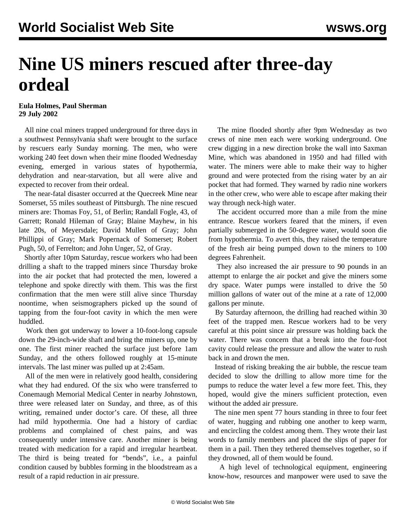## **Nine US miners rescued after three-day ordeal**

**Eula Holmes, Paul Sherman 29 July 2002**

 All nine coal miners trapped underground for three days in a southwest Pennsylvania shaft were brought to the surface by rescuers early Sunday morning. The men, who were working 240 feet down when their mine flooded Wednesday evening, emerged in various states of hypothermia, dehydration and near-starvation, but all were alive and expected to recover from their ordeal.

 The near-fatal disaster occurred at the Quecreek Mine near Somerset, 55 miles southeast of Pittsburgh. The nine rescued miners are: Thomas Foy, 51, of Berlin; Randall Fogle, 43, of Garrett; Ronald Hileman of Gray; Blaine Mayhew, in his late 20s, of Meyersdale; David Mullen of Gray; John Phillippi of Gray; Mark Popernack of Somerset; Robert Pugh, 50, of Ferrelton; and John Unger, 52, of Gray.

 Shortly after 10pm Saturday, rescue workers who had been drilling a shaft to the trapped miners since Thursday broke into the air pocket that had protected the men, lowered a telephone and spoke directly with them. This was the first confirmation that the men were still alive since Thursday noontime, when seismographers picked up the sound of tapping from the four-foot cavity in which the men were huddled.

 Work then got underway to lower a 10-foot-long capsule down the 29-inch-wide shaft and bring the miners up, one by one. The first miner reached the surface just before 1am Sunday, and the others followed roughly at 15-minute intervals. The last miner was pulled up at 2:45am.

 All of the men were in relatively good health, considering what they had endured. Of the six who were transferred to Conemaugh Memorial Medical Center in nearby Johnstown, three were released later on Sunday, and three, as of this writing, remained under doctor's care. Of these, all three had mild hypothermia. One had a history of cardiac problems and complained of chest pains, and was consequently under intensive care. Another miner is being treated with medication for a rapid and irregular heartbeat. The third is being treated for "bends", i.e., a painful condition caused by bubbles forming in the bloodstream as a result of a rapid reduction in air pressure.

 The mine flooded shortly after 9pm Wednesday as two crews of nine men each were working underground. One crew digging in a new direction broke the wall into Saxman Mine, which was abandoned in 1950 and had filled with water. The miners were able to make their way to higher ground and were protected from the rising water by an air pocket that had formed. They warned by radio nine workers in the other crew, who were able to escape after making their way through neck-high water.

 The accident occurred more than a mile from the mine entrance. Rescue workers feared that the miners, if even partially submerged in the 50-degree water, would soon die from hypothermia. To avert this, they raised the temperature of the fresh air being pumped down to the miners to 100 degrees Fahrenheit.

 They also increased the air pressure to 90 pounds in an attempt to enlarge the air pocket and give the miners some dry space. Water pumps were installed to drive the 50 million gallons of water out of the mine at a rate of 12,000 gallons per minute.

 By Saturday afternoon, the drilling had reached within 30 feet of the trapped men. Rescue workers had to be very careful at this point since air pressure was holding back the water. There was concern that a break into the four-foot cavity could release the pressure and allow the water to rush back in and drown the men.

 Instead of risking breaking the air bubble, the rescue team decided to slow the drilling to allow more time for the pumps to reduce the water level a few more feet. This, they hoped, would give the miners sufficient protection, even without the added air pressure.

 The nine men spent 77 hours standing in three to four feet of water, hugging and rubbing one another to keep warm, and encircling the coldest among them. They wrote their last words to family members and placed the slips of paper for them in a pail. Then they tethered themselves together, so if they drowned, all of them would be found.

 A high level of technological equipment, engineering know-how, resources and manpower were used to save the